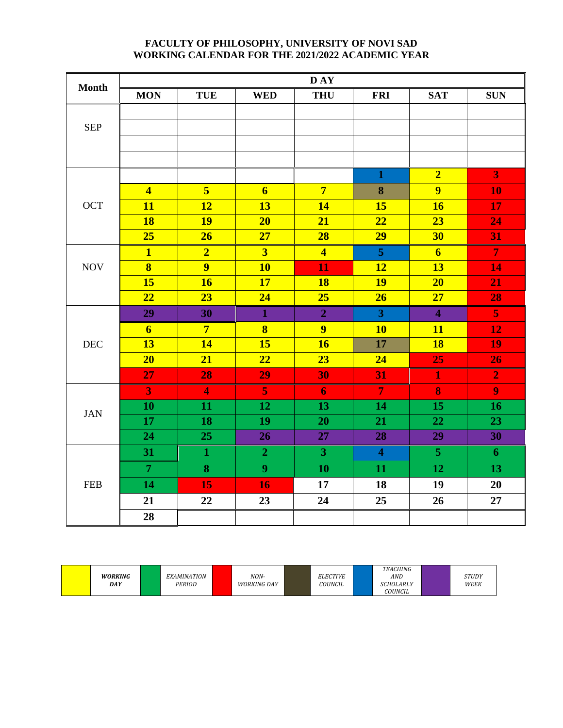## **FACULTY OF PHILOSOPHY, UNIVERSITY OF NOVI SAD WORKING CALENDAR FOR THE 2021/2022 ACADEMIC YEAR**

| <b>Month</b> | D AY                    |                         |                         |                         |                         |                         |                  |  |  |  |  |
|--------------|-------------------------|-------------------------|-------------------------|-------------------------|-------------------------|-------------------------|------------------|--|--|--|--|
|              | <b>MON</b>              | <b>TUE</b>              | <b>WED</b>              | <b>THU</b>              | <b>FRI</b>              | <b>SAT</b>              | <b>SUN</b>       |  |  |  |  |
|              |                         |                         |                         |                         |                         |                         |                  |  |  |  |  |
| <b>SEP</b>   |                         |                         |                         |                         |                         |                         |                  |  |  |  |  |
|              |                         |                         |                         |                         |                         |                         |                  |  |  |  |  |
|              |                         |                         |                         |                         |                         |                         |                  |  |  |  |  |
|              |                         |                         |                         |                         | $\mathbf{1}$            | $\overline{2}$          | 3                |  |  |  |  |
|              | $\overline{4}$          | $\overline{5}$          | $\overline{6}$          | $\overline{7}$          | $\bf{8}$                | $\overline{9}$          | 10               |  |  |  |  |
| <b>OCT</b>   | 11                      | 12                      | 13                      | 14                      | 15                      | <b>16</b>               | 17               |  |  |  |  |
|              | <b>18</b>               | <b>19</b>               | 20                      | 21                      | $\overline{22}$         | 23                      | 24               |  |  |  |  |
|              | 25                      | 26                      | 27                      | 28                      | 29                      | 30                      | 31               |  |  |  |  |
|              | $\overline{\mathbf{1}}$ | $\overline{2}$          | $\overline{\mathbf{3}}$ | $\overline{\mathbf{4}}$ | $\overline{5}$          | $\overline{6}$          | $\overline{7}$   |  |  |  |  |
| <b>NOV</b>   | $\overline{\mathbf{8}}$ | $\overline{9}$          | <b>10</b>               | 11                      | <b>12</b>               | 13                      | 14               |  |  |  |  |
|              | 15                      | <b>16</b>               | 17                      | <b>18</b>               | <b>19</b>               | 20                      | 21               |  |  |  |  |
|              | 22                      | 23                      | 24                      | 25                      | 26                      | 27                      | 28               |  |  |  |  |
|              | 29                      | 30                      | $\mathbf{1}$            | $\overline{2}$          | $\overline{\mathbf{3}}$ | $\overline{\mathbf{4}}$ | $\overline{5}$   |  |  |  |  |
|              | $\overline{\mathbf{6}}$ | $7\overline{ }$         | $\overline{\mathbf{8}}$ | $\overline{9}$          | <b>10</b>               | 11                      | 12               |  |  |  |  |
| DEC          | 13                      | 14                      | 15                      | 16                      | $\overline{17}$         | <b>18</b>               | 19               |  |  |  |  |
|              | 20                      | 21                      | 22                      | 23                      | 24                      | 25                      | 26               |  |  |  |  |
|              | 27                      | 28                      | 29                      | 30                      | 31                      | $\mathbf{1}$            | $\overline{2}$   |  |  |  |  |
|              | $\overline{\mathbf{3}}$ | $\overline{\mathbf{4}}$ | $\overline{\mathbf{5}}$ | $\overline{6}$          | $\overline{\tau}$       | 8                       | $\overline{9}$   |  |  |  |  |
| <b>JAN</b>   | 10                      | 11                      | 12                      | 13                      | 14                      | 15                      | 16               |  |  |  |  |
|              | $\overline{17}$         | 18                      | 19                      | 20                      | 21                      | 22                      | 23               |  |  |  |  |
|              | 24                      | 25                      | 26                      | 27                      | 28                      | 29                      | 30               |  |  |  |  |
|              | 31                      | $\mathbf{1}$            | $\overline{2}$          | 3 <sup>1</sup>          | $\overline{\mathbf{4}}$ | $\overline{5}$          | $\boldsymbol{6}$ |  |  |  |  |
|              | $\overline{7}$          | 8                       | $\overline{9}$          | 10                      | 11                      | 12                      | 13               |  |  |  |  |
| <b>FEB</b>   | 14                      | 15                      | 16                      | 17                      | 18                      | 19                      | 20               |  |  |  |  |
|              | 21                      | 22                      | 23                      | 24                      | 25                      | 26                      | 27               |  |  |  |  |
|              | 28                      |                         |                         |                         |                         |                         |                  |  |  |  |  |

|  | <b>WORKING</b><br>DAY |  | <b>EXAMINATION</b><br>PERIOD |  | NON-<br><b>WORKING DAY</b> |  | <b>ELECTIVE</b><br>COUNCIL |  | TEACHING<br>AND<br><b>SCHOLARLY</b><br><b>COUNCIL</b> |  | <b>STUDY</b><br>WEEK |
|--|-----------------------|--|------------------------------|--|----------------------------|--|----------------------------|--|-------------------------------------------------------|--|----------------------|
|--|-----------------------|--|------------------------------|--|----------------------------|--|----------------------------|--|-------------------------------------------------------|--|----------------------|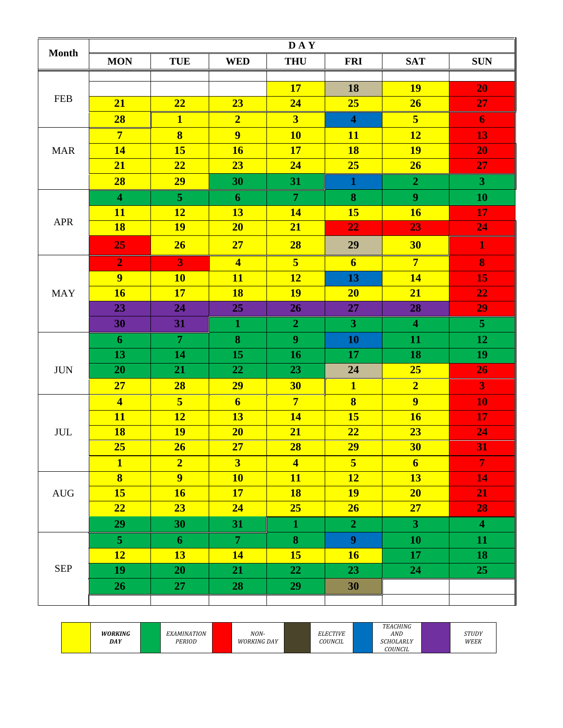| <b>Month</b>                | <b>DAY</b>              |                         |                         |                         |                         |                         |                         |  |  |  |  |
|-----------------------------|-------------------------|-------------------------|-------------------------|-------------------------|-------------------------|-------------------------|-------------------------|--|--|--|--|
|                             | <b>MON</b>              | <b>TUE</b>              | <b>WED</b>              | <b>THU</b>              | <b>FRI</b>              | <b>SAT</b>              | <b>SUN</b>              |  |  |  |  |
|                             |                         |                         |                         |                         |                         |                         |                         |  |  |  |  |
| <b>FEB</b>                  |                         |                         |                         | <b>17</b>               | 18                      | <b>19</b>               | 20                      |  |  |  |  |
|                             | 21                      | 22                      | 23                      | 24                      | 25                      | 26                      | 27                      |  |  |  |  |
|                             | 28                      | $\overline{\mathbf{1}}$ | $\overline{2}$          | $\overline{\mathbf{3}}$ | $\overline{\mathbf{4}}$ | $\overline{\mathbf{5}}$ | $\boldsymbol{6}$        |  |  |  |  |
|                             | $7\overline{ }$         | $\overline{\mathbf{8}}$ | $\overline{9}$          | <b>10</b>               | <b>11</b>               | <b>12</b>               | 13                      |  |  |  |  |
| <b>MAR</b>                  | 14                      | 15                      | <b>16</b>               | 17                      | <b>18</b>               | <b>19</b>               | 20                      |  |  |  |  |
|                             | 21                      | 22                      | 23                      | 24                      | 25                      | 26                      | 27                      |  |  |  |  |
|                             | 28                      | 29                      | 30                      | 31                      | $\mathbf{1}$            | $\overline{2}$          | $\overline{\mathbf{3}}$ |  |  |  |  |
|                             | $\overline{\mathbf{4}}$ | 5 <sup>1</sup>          | 6                       | $\overline{7}$          | $\bf{8}$                | $\boldsymbol{9}$        | 10                      |  |  |  |  |
|                             | <b>11</b>               | <b>12</b>               | 13                      | <b>14</b>               | <b>15</b>               | <b>16</b>               | 17                      |  |  |  |  |
| APR                         | <b>18</b>               | <b>19</b>               | 20                      | 21                      | 22                      | 23                      | 24                      |  |  |  |  |
|                             | 25                      | 26                      | 27                      | 28                      | 29                      | 30                      | $\mathbf{1}$            |  |  |  |  |
|                             | $\overline{2}$          | 3                       | $\overline{\mathbf{4}}$ | 5 <sup>1</sup>          | $6 \overline{6}$        | $7\phantom{.0}$         | 8                       |  |  |  |  |
| <b>MAY</b>                  | $\overline{9}$          | <b>10</b>               | 11                      | 12                      | 13                      | <b>14</b>               | 15                      |  |  |  |  |
|                             | 16                      | 17                      | <b>18</b>               | <b>19</b>               | 20                      | 21                      | 22                      |  |  |  |  |
|                             | 23                      | 24                      | 25                      | 26                      | 27                      | 28                      | 29                      |  |  |  |  |
|                             | 30                      | 31                      | $\mathbf{1}$            | $\overline{2}$          | $\overline{\mathbf{3}}$ | $\overline{\mathbf{4}}$ | $\overline{5}$          |  |  |  |  |
|                             | 6                       | $\overline{7}$          | 8                       | 9                       | 10                      | 11                      | 12                      |  |  |  |  |
| <b>JUN</b>                  | 13                      | 14                      | 15                      | 16                      | 17                      | 18                      | 19                      |  |  |  |  |
|                             | 20                      | 21                      | 22                      | 23                      | 24                      | 25                      | 26                      |  |  |  |  |
|                             | 27                      | 28                      | 29                      | <b>30</b>               | $\mathbf{1}$            | $\overline{2}$          | 3                       |  |  |  |  |
|                             | $\overline{\mathbf{4}}$ | $\overline{\mathbf{5}}$ | $\overline{\mathbf{6}}$ | $\overline{7}$          | $\overline{\mathbf{8}}$ | $\overline{9}$          | 10                      |  |  |  |  |
|                             | 11                      | <b>12</b>               | 13                      | 14                      | 15                      | <b>16</b>               | 17                      |  |  |  |  |
| $\ensuremath{\mathrm{JUL}}$ | <b>18</b>               | <b>19</b>               | 20                      | 21                      | 22                      | 23                      | 24                      |  |  |  |  |
|                             | $25\overline{}$         | 26 <sup>°</sup>         | $27\phantom{.}$         | 28                      | 29                      | 30 <sup>°</sup>         | <b>31</b>               |  |  |  |  |
|                             | $\mathbf{1}$            | $\overline{2}$          | 3                       | $\overline{\mathbf{4}}$ | 5 <sup>5</sup>          | $6 \overline{6}$        | $\overline{\tau}$       |  |  |  |  |
|                             | $\overline{\mathbf{8}}$ | $\overline{9}$          | <b>10</b>               | <b>11</b>               | <b>12</b>               | 13                      | 14                      |  |  |  |  |
| $\mathop{\rm AUG}\nolimits$ | 15                      | 16                      | 17                      | <b>18</b>               | <b>19</b>               | 20                      | 21                      |  |  |  |  |
|                             | 22                      | 23                      | 24                      | 25                      | 26                      | 27                      | 28                      |  |  |  |  |
|                             | 29                      | 30                      | 31                      | $\mathbf{1}$            | 2 <sub>1</sub>          | 3 <sup>1</sup>          | $\overline{\mathbf{4}}$ |  |  |  |  |
|                             | 5 <sup>1</sup>          | 6                       | $\mathbf{7}$            | 8                       | 9 <sup>°</sup>          | <b>10</b>               | 11                      |  |  |  |  |
|                             | <b>12</b>               | 13                      | <b>14</b>               | 15                      | <b>16</b>               | 17                      | 18                      |  |  |  |  |
| <b>SEP</b>                  | 19                      | <b>20</b>               | 21                      | 22                      | 23                      | 24                      | 25                      |  |  |  |  |
|                             | 26 <sup>°</sup>         | 27                      | 28                      | 29                      | 30                      |                         |                         |  |  |  |  |
|                             |                         |                         |                         |                         |                         |                         |                         |  |  |  |  |

|  | <b>WORKING</b><br>DAY |  | <b>EXAMINATION</b><br>PERIOD |  | NON-<br>WORKING DAY |  | <b>ELECTIVE</b><br>COUNCIL |  | <b>TEACHING</b><br>AND<br><b>SCHOLARLY</b><br>COUNCIL |  | STUDY<br>WEEK |  |
|--|-----------------------|--|------------------------------|--|---------------------|--|----------------------------|--|-------------------------------------------------------|--|---------------|--|
|--|-----------------------|--|------------------------------|--|---------------------|--|----------------------------|--|-------------------------------------------------------|--|---------------|--|